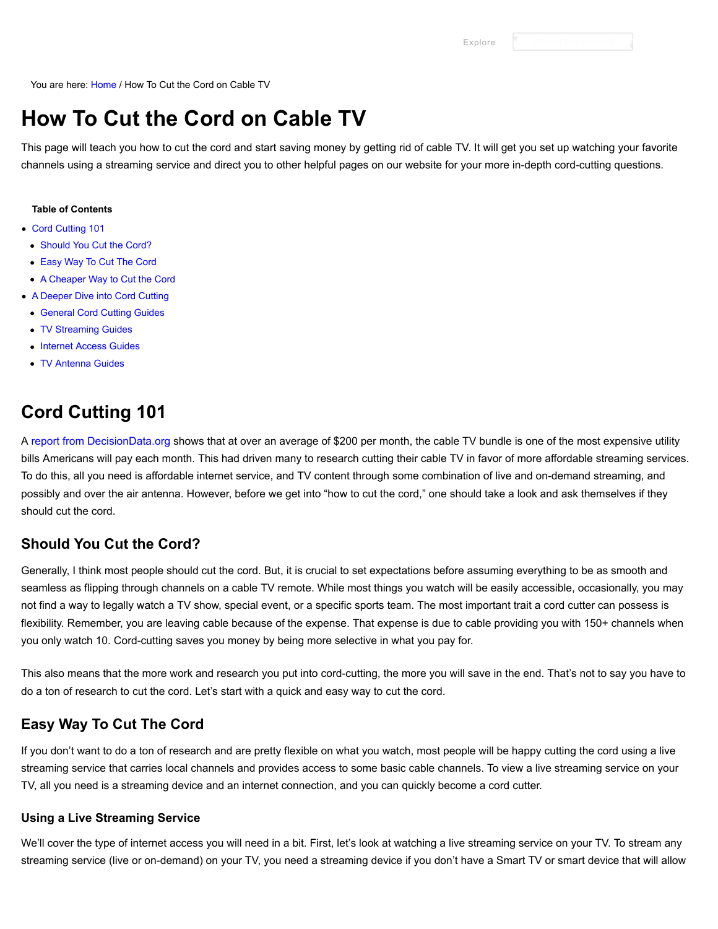You are here: [Home](https://www.groundedreason.com/) / How To Cut the Cord on Cable TV

# **How To Cut the Cord on Cable TV**

This page will teach you how to cut the cord and start saving money by getting rid of cable TV. It will get you set up watching your favorite channels using a streaming service and direct you to other helpful pages on our website for your more in-depth cord-cutting questions.

#### **Table of Contents**

- [Cord Cutting 101](https://www.groundedreason.com/cord-cutting-faq/#Cord_Cutting_101)
- [Should You Cut the Cord?](https://www.groundedreason.com/cord-cutting-faq/#Should_You_Cut_the_Cord)
- [Easy Way To Cut The Cord](https://www.groundedreason.com/cord-cutting-faq/#Easy_Way_To_Cut_The_Cord)
- [A Cheaper Way to Cut the Cord](https://www.groundedreason.com/cord-cutting-faq/#A_Cheaper_Way_to_Cut_the_Cord)
- [A Deeper Dive into Cord Cutting](https://www.groundedreason.com/cord-cutting-faq/#A_Deeper_Dive_into_Cord_Cutting)
	- [General Cord Cutting Guides](https://www.groundedreason.com/cord-cutting-faq/#General_Cord_Cutting_Guides)
- [TV Streaming Guides](https://www.groundedreason.com/cord-cutting-faq/#TV_Streaming_Guides)
- [Internet Access Guides](https://www.groundedreason.com/cord-cutting-faq/#Internet_Access_Guides)
- [TV Antenna Guides](https://www.groundedreason.com/cord-cutting-faq/#TV_Antenna_Guides)

## **Cord Cutting 101**

A [report from DecisionData.org](https://decisiondata.org/news/report-the-average-cable-bill-now-exceeds-all-other-household-utility-bills-combined/) shows that at over an average of \$200 per month, the cable TV bundle is one of the most expensive utility bills Americans will pay each month. This had driven many to research cutting their cable TV in favor of more affordable streaming services. To do this, all you need is affordable internet service, and TV content through some combination of live and on-demand streaming, and possibly and over the air antenna. However, before we get into "how to cut the cord," one should take a look and ask themselves if they should cut the cord.

### **Should You Cut the Cord?**

Generally, I think most people should cut the cord. But, it is crucial to set expectations before assuming everything to be as smooth and seamless as flipping through channels on a cable TV remote. While most things you watch will be easily accessible, occasionally, you may not find a way to legally watch a TV show, special event, or a specific sports team. The most important trait a cord cutter can possess is flexibility. Remember, you are leaving cable because of the expense. That expense is due to cable providing you with 150+ channels when you only watch 10. Cord-cutting saves you money by being more selective in what you pay for.

This also means that the more work and research you put into cord-cutting, the more you will save in the end. That's not to say you have to do a ton of research to cut the cord. Let's start with a quick and easy way to cut the cord.

### **Easy Way To Cut The Cord**

If you don't want to do a ton of research and are pretty flexible on what you watch, most people will be happy cutting the cord using a live streaming service that carries local channels and provides access to some basic cable channels. To view a live streaming service on your TV, all you need is a streaming device and an internet connection, and you can quickly become a cord cutter.

#### **Using a Live Streaming Service**

We'll cover the type of internet access you will need in a bit. First, let's look at watching a live streaming service on your TV. To stream any streaming service (live or on-demand) on your TV, you need a streaming device if you don't have a Smart TV or smart device that will allow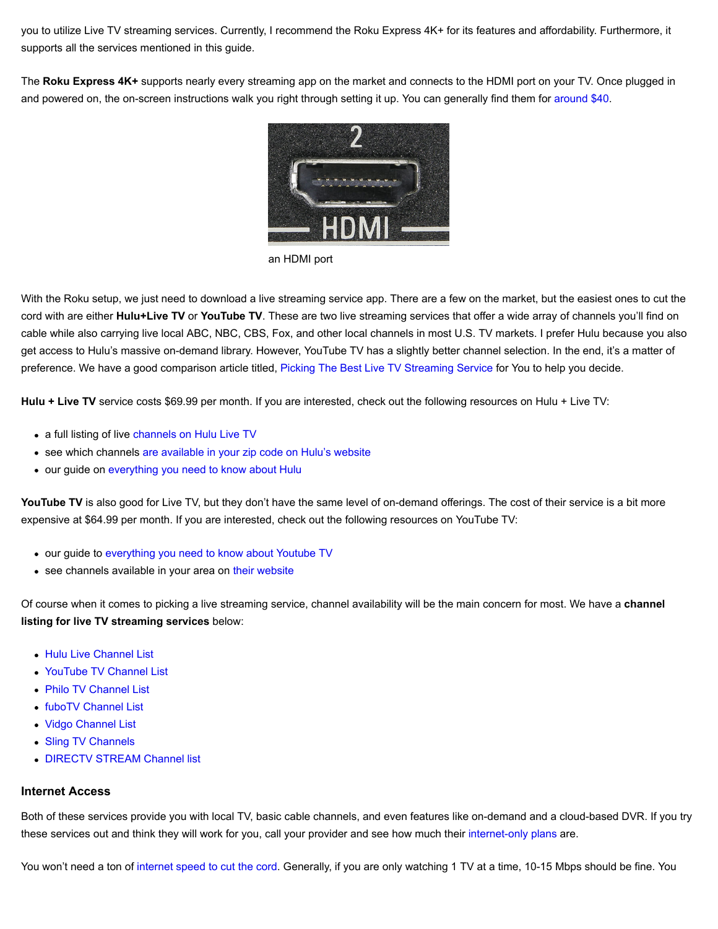you to utilize Live TV streaming services. Currently, I recommend the Roku Express 4K+ for its features and affordability. Furthermore, it supports all the services mentioned in this guide.

The **Roku Express 4K+** supports nearly every streaming app on the market and connects to the HDMI port on your TV. Once plugged in and powered on, the on-screen instructions walk you right through setting it up. You can generally find them for [around \\$40.](https://amzn.to/2R2jM2D)



an HDMI port

With the Roku setup, we just need to download a live streaming service app. There are a few on the market, but the easiest ones to cut the cord with are either **Hulu+Live TV** or **YouTube TV**. These are two live streaming services that offer a wide array of channels you'll find on cable while also carrying live local ABC, NBC, CBS, Fox, and other local channels in most U.S. TV markets. I prefer Hulu because you also get access to Hulu's massive on-demand library. However, YouTube TV has a slightly better channel selection. In the end, it's a matter of preference. We have a good comparison article titled, [Picking The Best Live TV Streaming Service](https://www.groundedreason.com/which-is-the-best-live-tv-streaming-service-in-2021/) for You to help you decide.

**Hulu + Live TV** service costs \$69.99 per month. If you are interested, check out the following resources on Hulu + Live TV:

- a full listing of live [channels on Hulu Live TV](https://www.groundedreason.com/tv-shows-hulu-worth-cost/#hulu-live-tv-channels)
- see which channels [are available in your zip code on Hulu's website](https://www.groundedreason.com/recommends/hululive#allchannels)
- our guide on [everything you need to know about Hulu](https://www.groundedreason.com/tv-shows-hulu-worth-cost/)

YouTube TV is also good for Live TV, but they don't have the same level of on-demand offerings. The cost of their service is a bit more expensive at \$64.99 per month. If you are interested, check out the following resources on YouTube TV:

- our guide to [everything you need to know about Youtube TV](https://www.groundedreason.com/youtube-tv-channels/)
- see channels available in your area on [their website](https://tv.youtube.com/welcome/)

Of course when it comes to picking a live streaming service, channel availability will be the main concern for most. We have a **channel listing for live TV streaming services** below:

- **[Hulu Live Channel List](https://www.groundedreason.com/tv-shows-hulu-worth-cost/#hulu-live-tv-channels)**
- [YouTube TV Channel List](https://www.groundedreason.com/youtube-tv-channels/#channels)
- [Philo TV Channel List](https://www.groundedreason.com/philo-tv-channels-review-and-cost/#Philo_Channel_Lineup)
- [fuboTV Channel List](https://www.groundedreason.com/what-is-fubotv/#1-fubotv-channels-and-plans)
- [Vidgo Channel List](https://www.groundedreason.com/a-detailed-look-at-vidgo-channels-plans-and-price/#channels)
- [Sling TV Channels](https://www.groundedreason.com/sling-tv-review-watch-live-tv-online/#Channels_on_Sling_TV)
- **[DIRECTV STREAM Channel list](https://www.groundedreason.com/att-tv-changes-prices-channels-and-more/#ATT_TV_Channels)**

#### **Internet Access**

Both of these services provide you with local TV, basic cable channels, and even features like on-demand and a cloud-based DVR. If you try these services out and think they will work for you, call your provider and see how much their [internet-only plans](https://www.groundedreason.com/how-to-get-internet-without-cable/) are.

You won't need a ton of [internet speed to cut the cord.](https://www.groundedreason.com/how-much-internet-speed-do-you-need/) Generally, if you are only watching 1 TV at a time, 10-15 Mbps should be fine. You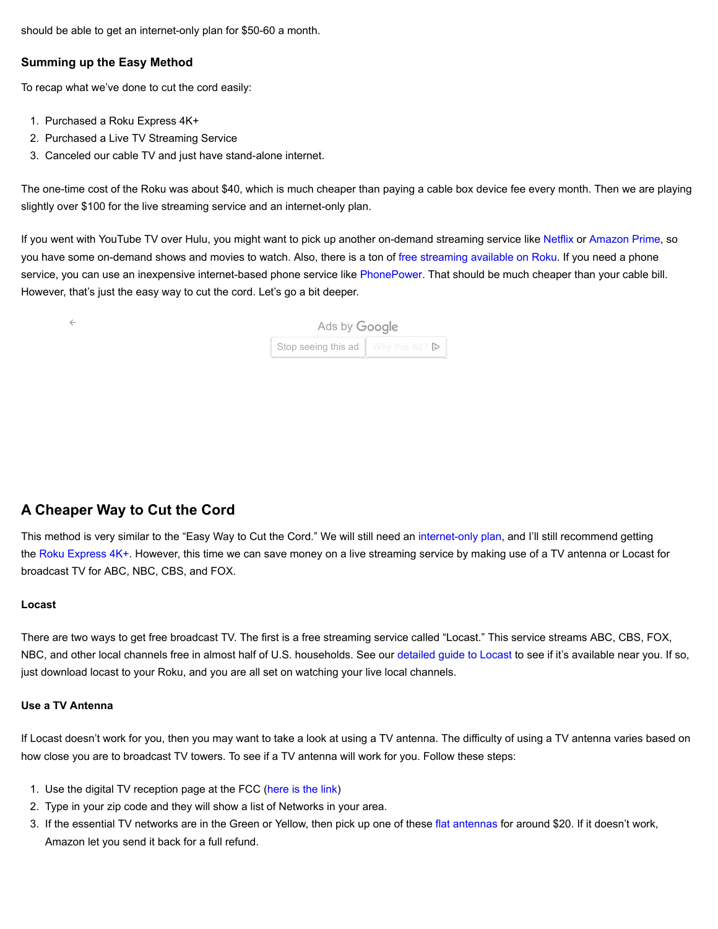should be able to get an internet-only plan for \$50-60 a month.

#### **Summing up the Easy Method**

To recap what we've done to cut the cord easily:

1. Purchased a Roku Express 4K+

 $\leftarrow$ 

- 2. Purchased a Live TV Streaming Service
- 3. Canceled our cable TV and just have stand-alone internet.

The one-time cost of the Roku was about \$40, which is much cheaper than paying a cable box device fee every month. Then we are playing slightly over \$100 for the live streaming service and an internet-only plan.

If you went with YouTube TV over Hulu, you might want to pick up another on-demand streaming service like [Netflix](https://www.netflix.com/) or [Amazon Prime](https://www.groundedreason.com/recommends/AmazonPrime), so you have some on-demand shows and movies to watch. Also, there is a ton of [free streaming available on Roku](https://www.groundedreason.com/best-free-roku-channels/). If you need a phone service, you can use an inexpensive internet-based phone service like [PhonePower](https://www.phonepower.com/voiphome.aspx). That should be much cheaper than your cable bill. However, that's just the easy way to cut the cord. Let's go a bit deeper.

| Ads by Google                                                 |  |
|---------------------------------------------------------------|--|
| Stop seeing this ad $\parallel$ Why this ad? $\triangleright$ |  |

## **A Cheaper Way to Cut the Cord**

This method is very similar to the "Easy Way to Cut the Cord." We will still need an [internet-only plan,](https://www.groundedreason.com/how-to-get-internet-without-cable/) and I'll still recommend getting the [Roku Express 4K+](https://amzn.to/2R2jM2D). However, this time we can save money on a live streaming service by making use of a TV antenna or Locast for broadcast TV for ABC, NBC, CBS, and FOX.

#### **Locast**

There are two ways to get free broadcast TV. The first is a free streaming service called "Locast." This service streams ABC, CBS, FOX, NBC, and other local channels free in almost half of U.S. households. See our [detailed guide to Locast](https://www.groundedreason.com/is-locast-a-way-to-watch-free-local-tv/) to see if it's available near you. If so, just download locast to your Roku, and you are all set on watching your live local channels.

#### **Use a TV Antenna**

If Locast doesn't work for you, then you may want to take a look at using a TV antenna. The difficulty of using a TV antenna varies based on how close you are to broadcast TV towers. To see if a TV antenna will work for you. Follow these steps:

- 1. Use the digital TV reception page at the FCC [\(here is the link\)](https://www.fcc.gov/media/engineering/dtvmaps)
- 2. Type in your zip code and they will show a list of Networks in your area.
- 3. If the essential TV networks are in the Green or Yellow, then pick up one of these [flat antennas](https://amzn.to/2W24ryv) for around \$20. If it doesn't work, Amazon let you send it back for a full refund.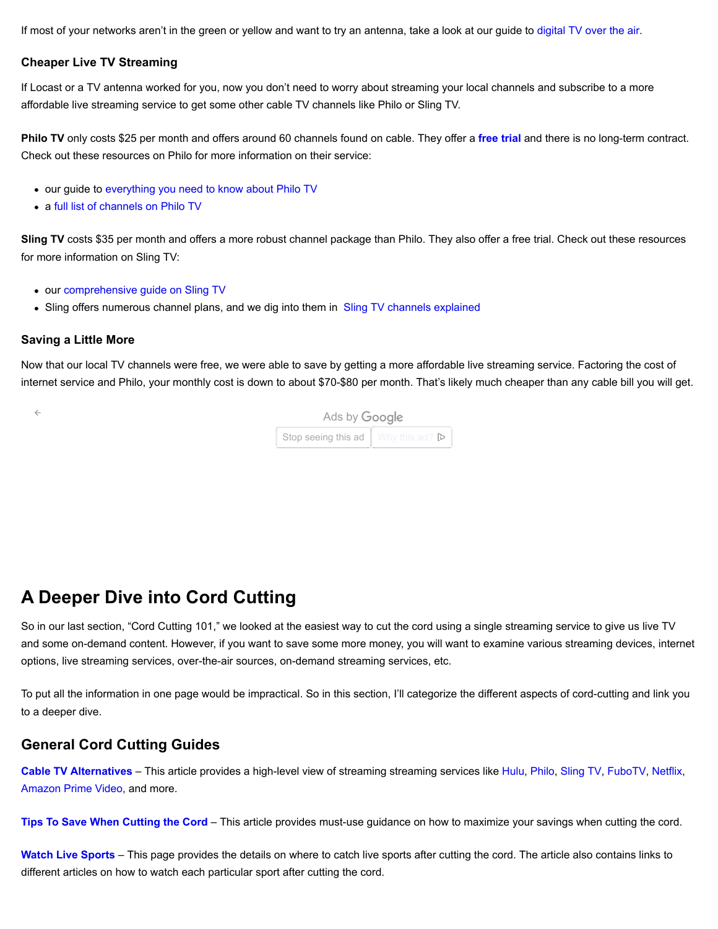If most of your networks aren't in the green or yellow and want to try an antenna, take a look at our guide to [digital TV over the air.](https://www.groundedreason.com/watch-tv-free-antenna-guide/)

#### **Cheaper Live TV Streaming**

If Locast or a TV antenna worked for you, now you don't need to worry about streaming your local channels and subscribe to a more affordable live streaming service to get some other cable TV channels like Philo or Sling TV.

**Philo TV** only costs \$25 per month and offers around 60 channels found on cable. They offer a **[free trial](https://www.groundedreason.com/recommends/philo)** and there is no long-term contract. Check out these resources on Philo for more information on their service:

- our guide to [everything you need to know about Philo TV](https://www.groundedreason.com/philo-tv-channels-review-and-cost/)
- a [full list of channels on Philo TV](https://www.groundedreason.com/philo-tv-channels-review-and-cost/#Philo_Channel_Lineup)

**Sling TV** costs \$35 per month and offers a more robust channel package than Philo. They also offer a free trial. Check out these resources for more information on Sling TV:

- our [comprehensive guide on Sling TV](https://www.groundedreason.com/sling-tv-review-watch-live-tv-online/)
- Sling offers numerous channel plans, and we dig into them in [Sling TV channels explained](https://www.groundedreason.com/sling-tv-review-watch-live-tv-online/#Channels_on_Sling_TV)

#### **Saving a Little More**

Now that our local TV channels were free, we were able to save by getting a more affordable live streaming service. Factoring the cost of internet service and Philo, your monthly cost is down to about \$70-\$80 per month. That's likely much cheaper than any cable bill you will get.

| Ads by Google |                                      |
|---------------|--------------------------------------|
|               | Stop seeing this ad   Why this ad? D |
|               |                                      |

## **A Deeper Dive into Cord Cutting**

So in our last section, "Cord Cutting 101," we looked at the easiest way to cut the cord using a single streaming service to give us live TV and some on-demand content. However, if you want to save some more money, you will want to examine various streaming devices, internet options, live streaming services, over-the-air sources, on-demand streaming services, etc.

To put all the information in one page would be impractical. So in this section, I'll categorize the different aspects of cord-cutting and link you to a deeper dive.

#### **General Cord Cutting Guides**

**[Cable TV Alternatives](https://www.groundedreason.com/cable-tv-alternatives/)** – This article provides a high-level view of streaming streaming services like [Hulu](https://www.groundedreason.com/tv-shows-hulu-worth-cost/), [Philo](https://www.groundedreason.com/philo-tv-channels-review-and-cost/), [Sling TV](https://www.groundedreason.com/sling-tv-review-watch-live-tv-online/), [FuboTV](https://www.groundedreason.com/what-is-fubotv/), [Netflix,](https://www.groundedreason.com/netflix-prices-plans-and-answers-to-your-questions/) [Amazon Prime Video,](https://www.groundedreason.com/amazon-prime-video-what-you-need-to-know/) and more.

**[Tips To Save When Cutting the Cord](https://www.groundedreason.com/how-to-cut-the-cord-on-cable-and-save-money/)** – This article provides must-use guidance on how to maximize your savings when cutting the cord.

**[Watch Live Sports](https://www.groundedreason.com/watch-sports-without-cable/)** – This page provides the details on where to catch live sports after cutting the cord. The article also contains links to different articles on how to watch each particular sport after cutting the cord.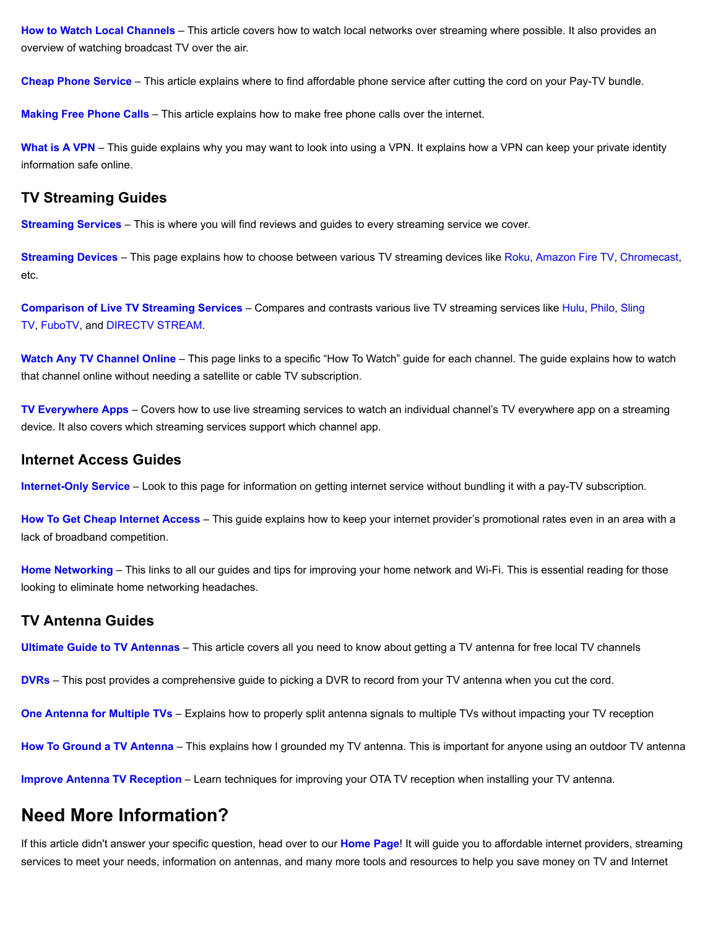**[How to Watch Local Channels](https://www.groundedreason.com/watch-local-channels-without-cable/)** – This article covers how to watch local networks over streaming where possible. It also provides an overview of watching broadcast TV over the air.

**[Cheap Phone Service](https://www.groundedreason.com/replace-home-phone-service/)** – This article explains where to find affordable phone service after cutting the cord on your Pay-TV bundle.

**[Making Free Phone Calls](https://www.groundedreason.com/make-free-phone-calls-internet/)** – This article explains how to make free phone calls over the internet.

[What is A VPN](https://www.groundedreason.com/what-is-a-vpn-and-how-to-chose-the-best-one/) – This guide explains why you may want to look into using a VPN. It explains how a VPN can keep your private identity information safe online.

### **TV Streaming Guides**

**[Streaming Services](https://www.groundedreason.com/cable-tv-alternatives/)** – This is where you will find reviews and guides to every streaming service we cover.

**[Streaming Devices](https://www.groundedreason.com/which-streaming-device-is-best-for-you/)** – This page explains how to choose between various TV streaming devices like [Roku](https://www.groundedreason.com/a-beginners-guide-to-roku/), [Amazon Fire TV,](https://www.groundedreason.com/amazon-fire-tv-cube-review/) [Chromecast,](https://www.groundedreason.com/google-chromecast-setup-review/) etc.

**[Comparison of Live TV Streaming Services](https://www.groundedreason.com/which-is-the-best-live-tv-streaming-service-in-2021/)** [– Compares and contrasts various live TV streaming services like H](https://www.groundedreason.com/sling-tv-review-watch-live-tv-online/)[ulu](https://www.groundedreason.com/tv-shows-hulu-worth-cost/)[, P](https://www.groundedreason.com/sling-tv-review-watch-live-tv-online/)[hil](https://www.groundedreason.com/philo-tv-channels-review-and-cost/)[o, Sling](https://www.groundedreason.com/sling-tv-review-watch-live-tv-online/) TV, [FuboTV,](https://www.groundedreason.com/what-is-fubotv/) and [DIRECTV STREAM.](https://www.groundedreason.com/att-tv-changes-prices-channels-and-more/)

**[Watch Any TV Channel Online](https://www.groundedreason.com/cord-cutting/tv-streaming/how-to-stream-by-channel/)** – This page links to a specific "How To Watch" guide for each channel. The guide explains how to watch that channel online without needing a satellite or cable TV subscription.

**[TV Everywhere Apps](https://www.groundedreason.com/streaming-services-support-tv-everywhere-apps/)** – Covers how to use live streaming services to watch an individual channel's TV everywhere app on a streaming device. It also covers which streaming services support which channel app.

### **Internet Access Guides**

**[Internet-Only Service](https://www.groundedreason.com/how-to-get-internet-without-cable/)** – Look to this page for information on getting internet service without bundling it with a pay-TV subscription.

**[How To Get Cheap Internet Access](https://www.groundedreason.com/how-to-get-cheap-internet-access/)** – This guide explains how to keep your internet provider's promotional rates even in an area with a lack of broadband competition.

**[Home Networking](https://www.groundedreason.com/internet-access/home-networking-internet-and-networking/)** – This links to all our guides and tips for improving your home network and Wi-Fi. This is essential reading for those looking to eliminate home networking headaches.

### **TV Antenna Guides**

**[Ultimate Guide to TV Antennas](https://www.groundedreason.com/watch-tv-free-antenna-guide/)** – This article covers all you need to know about getting a TV antenna for free local TV channels

**[DVRs](https://www.groundedreason.com/ota-dvr-without-cable/)** – This post provides a comprehensive guide to picking a DVR to record from your TV antenna when you cut the cord.

**[One Antenna for Multiple TVs](https://www.groundedreason.com/connecting-an-antenna-to-multiple-tvs/)** – Explains how to properly split antenna signals to multiple TVs without impacting your TV reception

**[How To Ground a TV Antenna](https://www.groundedreason.com/how-to-ground-an-outdoor-antenna/)** – This explains how I grounded my TV antenna. This is important for anyone using an outdoor TV antenna

**[Improve Antenna TV Reception](https://www.groundedreason.com/maximize-indoor-tv-antenna-reception/)** – Learn techniques for improving your OTA TV reception when installing your TV antenna.

## **Need More Information?**

If this article didn't answer your specific question, head over to our **[Home Page](https://www.groundedreason.com/)**! It will guide you to affordable internet providers, streaming services to meet your needs, information on antennas, and many more tools and resources to help you save money on TV and Internet